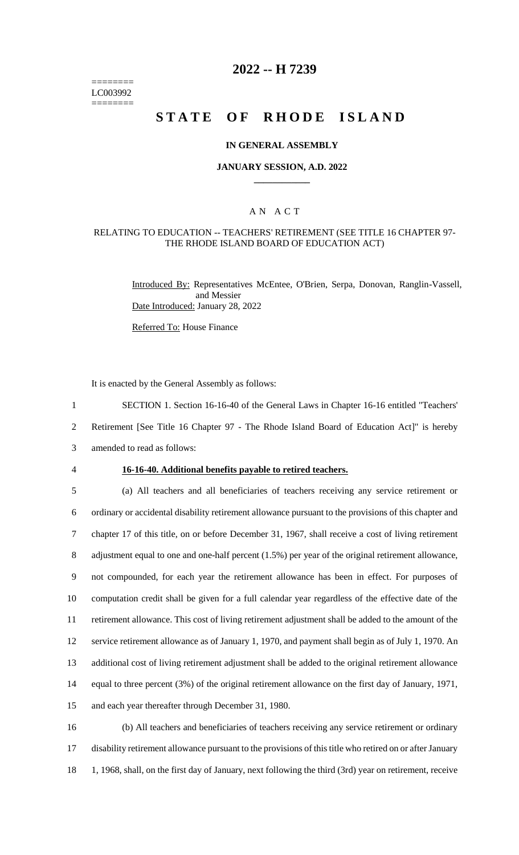======== LC003992 ========

# **2022 -- H 7239**

# **STATE OF RHODE ISLAND**

### **IN GENERAL ASSEMBLY**

### **JANUARY SESSION, A.D. 2022 \_\_\_\_\_\_\_\_\_\_\_\_**

## A N A C T

### RELATING TO EDUCATION -- TEACHERS' RETIREMENT (SEE TITLE 16 CHAPTER 97- THE RHODE ISLAND BOARD OF EDUCATION ACT)

Introduced By: Representatives McEntee, O'Brien, Serpa, Donovan, Ranglin-Vassell, and Messier Date Introduced: January 28, 2022

Referred To: House Finance

It is enacted by the General Assembly as follows:

1 SECTION 1. Section 16-16-40 of the General Laws in Chapter 16-16 entitled "Teachers'

2 Retirement [See Title 16 Chapter 97 - The Rhode Island Board of Education Act]" is hereby

3 amended to read as follows:

#### 4 **16-16-40. Additional benefits payable to retired teachers.**

 (a) All teachers and all beneficiaries of teachers receiving any service retirement or ordinary or accidental disability retirement allowance pursuant to the provisions of this chapter and chapter 17 of this title, on or before December 31, 1967, shall receive a cost of living retirement 8 adjustment equal to one and one-half percent (1.5%) per year of the original retirement allowance, not compounded, for each year the retirement allowance has been in effect. For purposes of computation credit shall be given for a full calendar year regardless of the effective date of the retirement allowance. This cost of living retirement adjustment shall be added to the amount of the service retirement allowance as of January 1, 1970, and payment shall begin as of July 1, 1970. An additional cost of living retirement adjustment shall be added to the original retirement allowance equal to three percent (3%) of the original retirement allowance on the first day of January, 1971, and each year thereafter through December 31, 1980.

16 (b) All teachers and beneficiaries of teachers receiving any service retirement or ordinary 17 disability retirement allowance pursuant to the provisions of this title who retired on or after January 18 1, 1968, shall, on the first day of January, next following the third (3rd) year on retirement, receive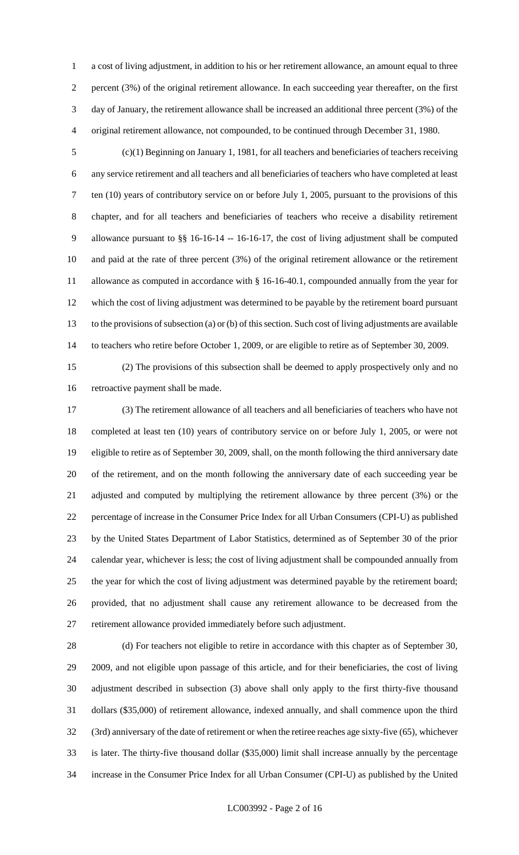a cost of living adjustment, in addition to his or her retirement allowance, an amount equal to three percent (3%) of the original retirement allowance. In each succeeding year thereafter, on the first day of January, the retirement allowance shall be increased an additional three percent (3%) of the original retirement allowance, not compounded, to be continued through December 31, 1980.

 (c)(1) Beginning on January 1, 1981, for all teachers and beneficiaries of teachers receiving any service retirement and all teachers and all beneficiaries of teachers who have completed at least ten (10) years of contributory service on or before July 1, 2005, pursuant to the provisions of this chapter, and for all teachers and beneficiaries of teachers who receive a disability retirement allowance pursuant to §§ 16-16-14 -- 16-16-17, the cost of living adjustment shall be computed and paid at the rate of three percent (3%) of the original retirement allowance or the retirement allowance as computed in accordance with § 16-16-40.1, compounded annually from the year for which the cost of living adjustment was determined to be payable by the retirement board pursuant to the provisions of subsection (a) or (b) of this section. Such cost of living adjustments are available to teachers who retire before October 1, 2009, or are eligible to retire as of September 30, 2009.

 (2) The provisions of this subsection shall be deemed to apply prospectively only and no retroactive payment shall be made.

 (3) The retirement allowance of all teachers and all beneficiaries of teachers who have not completed at least ten (10) years of contributory service on or before July 1, 2005, or were not eligible to retire as of September 30, 2009, shall, on the month following the third anniversary date of the retirement, and on the month following the anniversary date of each succeeding year be adjusted and computed by multiplying the retirement allowance by three percent (3%) or the percentage of increase in the Consumer Price Index for all Urban Consumers (CPI-U) as published by the United States Department of Labor Statistics, determined as of September 30 of the prior calendar year, whichever is less; the cost of living adjustment shall be compounded annually from the year for which the cost of living adjustment was determined payable by the retirement board; provided, that no adjustment shall cause any retirement allowance to be decreased from the retirement allowance provided immediately before such adjustment.

 (d) For teachers not eligible to retire in accordance with this chapter as of September 30, 2009, and not eligible upon passage of this article, and for their beneficiaries, the cost of living adjustment described in subsection (3) above shall only apply to the first thirty-five thousand dollars (\$35,000) of retirement allowance, indexed annually, and shall commence upon the third (3rd) anniversary of the date of retirement or when the retiree reaches age sixty-five (65), whichever is later. The thirty-five thousand dollar (\$35,000) limit shall increase annually by the percentage increase in the Consumer Price Index for all Urban Consumer (CPI-U) as published by the United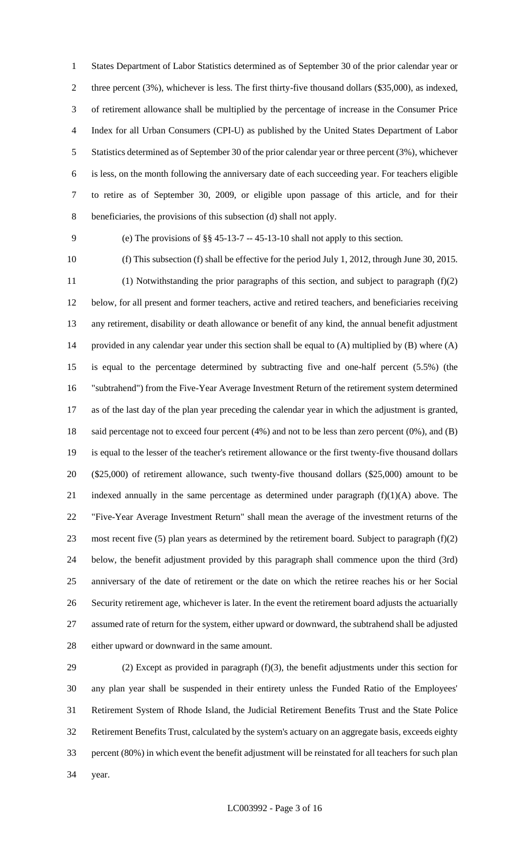States Department of Labor Statistics determined as of September 30 of the prior calendar year or three percent (3%), whichever is less. The first thirty-five thousand dollars (\$35,000), as indexed, of retirement allowance shall be multiplied by the percentage of increase in the Consumer Price Index for all Urban Consumers (CPI-U) as published by the United States Department of Labor Statistics determined as of September 30 of the prior calendar year or three percent (3%), whichever is less, on the month following the anniversary date of each succeeding year. For teachers eligible to retire as of September 30, 2009, or eligible upon passage of this article, and for their beneficiaries, the provisions of this subsection (d) shall not apply.

(e) The provisions of §§ 45-13-7 -- 45-13-10 shall not apply to this section.

 (f) This subsection (f) shall be effective for the period July 1, 2012, through June 30, 2015. (1) Notwithstanding the prior paragraphs of this section, and subject to paragraph (f)(2) below, for all present and former teachers, active and retired teachers, and beneficiaries receiving any retirement, disability or death allowance or benefit of any kind, the annual benefit adjustment provided in any calendar year under this section shall be equal to (A) multiplied by (B) where (A) is equal to the percentage determined by subtracting five and one-half percent (5.5%) (the "subtrahend") from the Five-Year Average Investment Return of the retirement system determined as of the last day of the plan year preceding the calendar year in which the adjustment is granted, said percentage not to exceed four percent (4%) and not to be less than zero percent (0%), and (B) is equal to the lesser of the teacher's retirement allowance or the first twenty-five thousand dollars (\$25,000) of retirement allowance, such twenty-five thousand dollars (\$25,000) amount to be 21 indexed annually in the same percentage as determined under paragraph  $(f)(1)(A)$  above. The "Five-Year Average Investment Return" shall mean the average of the investment returns of the 23 most recent five (5) plan years as determined by the retirement board. Subject to paragraph  $(f)(2)$  below, the benefit adjustment provided by this paragraph shall commence upon the third (3rd) anniversary of the date of retirement or the date on which the retiree reaches his or her Social Security retirement age, whichever is later. In the event the retirement board adjusts the actuarially assumed rate of return for the system, either upward or downward, the subtrahend shall be adjusted either upward or downward in the same amount.

29 (2) Except as provided in paragraph  $(f)(3)$ , the benefit adjustments under this section for any plan year shall be suspended in their entirety unless the Funded Ratio of the Employees' Retirement System of Rhode Island, the Judicial Retirement Benefits Trust and the State Police Retirement Benefits Trust, calculated by the system's actuary on an aggregate basis, exceeds eighty percent (80%) in which event the benefit adjustment will be reinstated for all teachers for such plan year.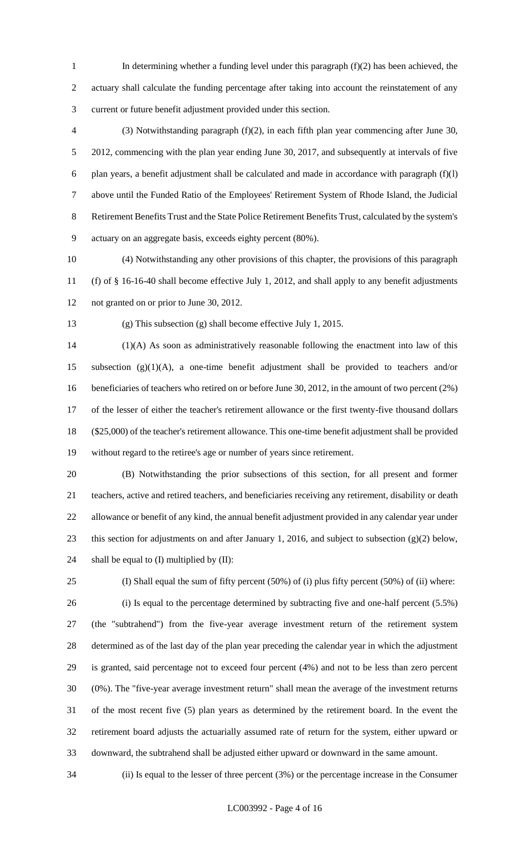- In determining whether a funding level under this paragraph (f)(2) has been achieved, the actuary shall calculate the funding percentage after taking into account the reinstatement of any current or future benefit adjustment provided under this section.
- (3) Notwithstanding paragraph (f)(2), in each fifth plan year commencing after June 30, 2012, commencing with the plan year ending June 30, 2017, and subsequently at intervals of five 6 plan years, a benefit adjustment shall be calculated and made in accordance with paragraph  $(f)(l)$  above until the Funded Ratio of the Employees' Retirement System of Rhode Island, the Judicial Retirement Benefits Trust and the State Police Retirement Benefits Trust, calculated by the system's actuary on an aggregate basis, exceeds eighty percent (80%).
- (4) Notwithstanding any other provisions of this chapter, the provisions of this paragraph (f) of § 16-16-40 shall become effective July 1, 2012, and shall apply to any benefit adjustments not granted on or prior to June 30, 2012.
- 

(g) This subsection (g) shall become effective July 1, 2015.

 (1)(A) As soon as administratively reasonable following the enactment into law of this subsection (g)(1)(A), a one-time benefit adjustment shall be provided to teachers and/or 16 beneficiaries of teachers who retired on or before June 30, 2012, in the amount of two percent (2%) of the lesser of either the teacher's retirement allowance or the first twenty-five thousand dollars (\$25,000) of the teacher's retirement allowance. This one-time benefit adjustment shall be provided without regard to the retiree's age or number of years since retirement.

- (B) Notwithstanding the prior subsections of this section, for all present and former teachers, active and retired teachers, and beneficiaries receiving any retirement, disability or death allowance or benefit of any kind, the annual benefit adjustment provided in any calendar year under this section for adjustments on and after January 1, 2016, and subject to subsection (g)(2) below, 24 shall be equal to (I) multiplied by (II):
- (I) Shall equal the sum of fifty percent (50%) of (i) plus fifty percent (50%) of (ii) where: (i) Is equal to the percentage determined by subtracting five and one-half percent (5.5%) (the "subtrahend") from the five-year average investment return of the retirement system determined as of the last day of the plan year preceding the calendar year in which the adjustment is granted, said percentage not to exceed four percent (4%) and not to be less than zero percent (0%). The "five-year average investment return" shall mean the average of the investment returns of the most recent five (5) plan years as determined by the retirement board. In the event the retirement board adjusts the actuarially assumed rate of return for the system, either upward or downward, the subtrahend shall be adjusted either upward or downward in the same amount.

(ii) Is equal to the lesser of three percent (3%) or the percentage increase in the Consumer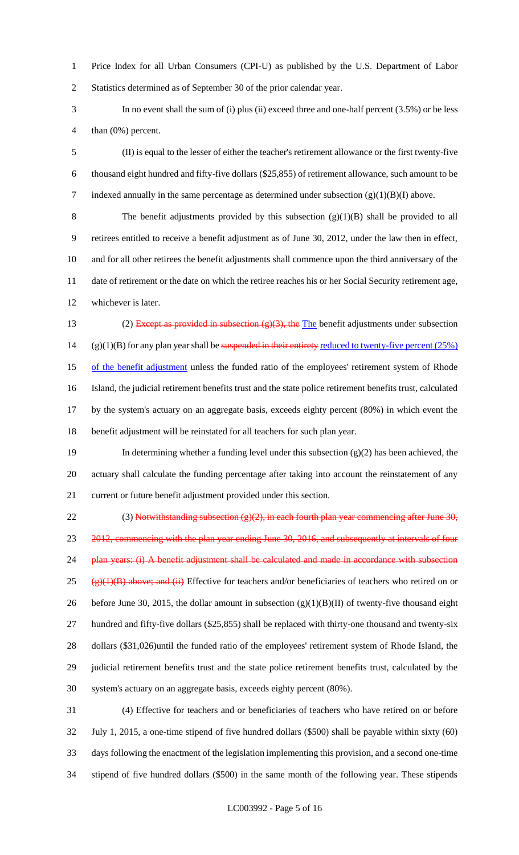Price Index for all Urban Consumers (CPI-U) as published by the U.S. Department of Labor Statistics determined as of September 30 of the prior calendar year.

 In no event shall the sum of (i) plus (ii) exceed three and one-half percent (3.5%) or be less than (0%) percent.

 (II) is equal to the lesser of either the teacher's retirement allowance or the first twenty-five thousand eight hundred and fifty-five dollars (\$25,855) of retirement allowance, such amount to be 7 indexed annually in the same percentage as determined under subsection  $(g)(1)(B)(I)$  above.

 The benefit adjustments provided by this subsection (g)(1)(B) shall be provided to all retirees entitled to receive a benefit adjustment as of June 30, 2012, under the law then in effect, and for all other retirees the benefit adjustments shall commence upon the third anniversary of the date of retirement or the date on which the retiree reaches his or her Social Security retirement age, whichever is later.

13 (2) Except as provided in subsection  $(g)(3)$ , the The benefit adjustments under subsection 14 (g)(1)(B) for any plan year shall be suspended in their entirety reduced to twenty-five percent  $(25%)$ 15 of the benefit adjustment unless the funded ratio of the employees' retirement system of Rhode Island, the judicial retirement benefits trust and the state police retirement benefits trust, calculated by the system's actuary on an aggregate basis, exceeds eighty percent (80%) in which event the benefit adjustment will be reinstated for all teachers for such plan year.

 In determining whether a funding level under this subsection (g)(2) has been achieved, the actuary shall calculate the funding percentage after taking into account the reinstatement of any current or future benefit adjustment provided under this section.

22 (3) Notwithstanding subsection  $(g)(2)$ , in each fourth plan year commencing after June 30, 23 2012, commencing with the plan year ending June 30, 2016, and subsequently at intervals of four 24 plan years: (i) A benefit adjustment shall be calculated and made in accordance with subsection 25 ( $\frac{(\mathbf{P})(1)(\mathbf{B})}{(\mathbf{B})}$  above; and (ii) Effective for teachers and/or beneficiaries of teachers who retired on or 26 before June 30, 2015, the dollar amount in subsection  $(g)(1)(B)(II)$  of twenty-five thousand eight hundred and fifty-five dollars (\$25,855) shall be replaced with thirty-one thousand and twenty-six dollars (\$31,026)until the funded ratio of the employees' retirement system of Rhode Island, the judicial retirement benefits trust and the state police retirement benefits trust, calculated by the system's actuary on an aggregate basis, exceeds eighty percent (80%).

 (4) Effective for teachers and or beneficiaries of teachers who have retired on or before July 1, 2015, a one-time stipend of five hundred dollars (\$500) shall be payable within sixty (60) days following the enactment of the legislation implementing this provision, and a second one-time stipend of five hundred dollars (\$500) in the same month of the following year. These stipends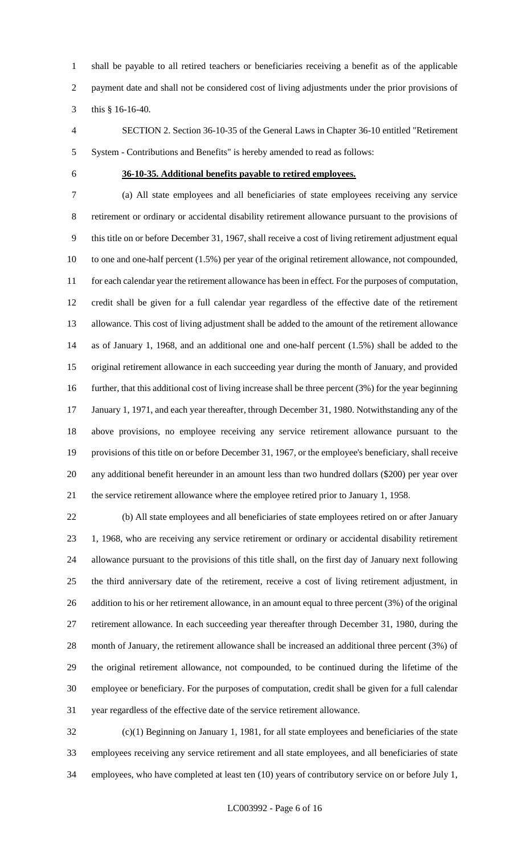shall be payable to all retired teachers or beneficiaries receiving a benefit as of the applicable payment date and shall not be considered cost of living adjustments under the prior provisions of this § 16-16-40.

 SECTION 2. Section 36-10-35 of the General Laws in Chapter 36-10 entitled "Retirement System - Contributions and Benefits" is hereby amended to read as follows:

### **36-10-35. Additional benefits payable to retired employees.**

 (a) All state employees and all beneficiaries of state employees receiving any service retirement or ordinary or accidental disability retirement allowance pursuant to the provisions of this title on or before December 31, 1967, shall receive a cost of living retirement adjustment equal to one and one-half percent (1.5%) per year of the original retirement allowance, not compounded, for each calendar year the retirement allowance has been in effect. For the purposes of computation, credit shall be given for a full calendar year regardless of the effective date of the retirement allowance. This cost of living adjustment shall be added to the amount of the retirement allowance as of January 1, 1968, and an additional one and one-half percent (1.5%) shall be added to the original retirement allowance in each succeeding year during the month of January, and provided further, that this additional cost of living increase shall be three percent (3%) for the year beginning January 1, 1971, and each year thereafter, through December 31, 1980. Notwithstanding any of the above provisions, no employee receiving any service retirement allowance pursuant to the provisions of this title on or before December 31, 1967, or the employee's beneficiary, shall receive any additional benefit hereunder in an amount less than two hundred dollars (\$200) per year over the service retirement allowance where the employee retired prior to January 1, 1958.

 (b) All state employees and all beneficiaries of state employees retired on or after January 1, 1968, who are receiving any service retirement or ordinary or accidental disability retirement allowance pursuant to the provisions of this title shall, on the first day of January next following the third anniversary date of the retirement, receive a cost of living retirement adjustment, in 26 addition to his or her retirement allowance, in an amount equal to three percent (3%) of the original retirement allowance. In each succeeding year thereafter through December 31, 1980, during the month of January, the retirement allowance shall be increased an additional three percent (3%) of the original retirement allowance, not compounded, to be continued during the lifetime of the employee or beneficiary. For the purposes of computation, credit shall be given for a full calendar year regardless of the effective date of the service retirement allowance.

 (c)(1) Beginning on January 1, 1981, for all state employees and beneficiaries of the state employees receiving any service retirement and all state employees, and all beneficiaries of state employees, who have completed at least ten (10) years of contributory service on or before July 1,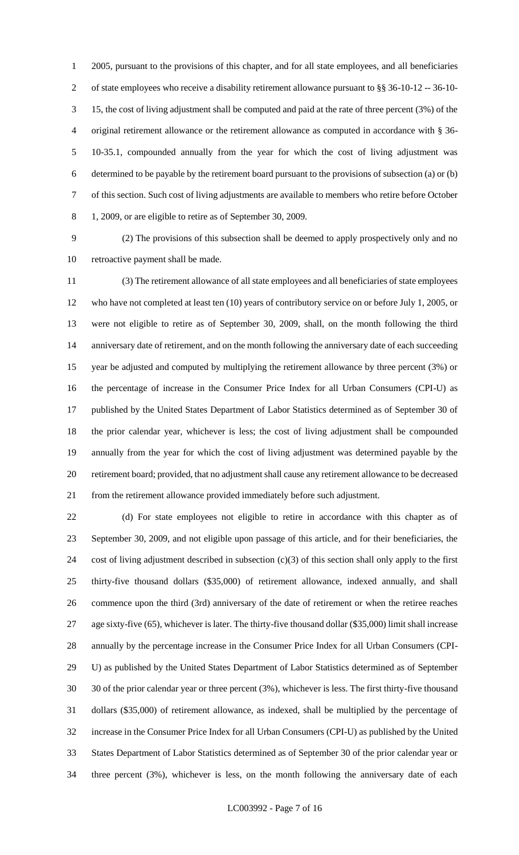2005, pursuant to the provisions of this chapter, and for all state employees, and all beneficiaries of state employees who receive a disability retirement allowance pursuant to §§ 36-10-12 -- 36-10- 15, the cost of living adjustment shall be computed and paid at the rate of three percent (3%) of the original retirement allowance or the retirement allowance as computed in accordance with § 36- 10-35.1, compounded annually from the year for which the cost of living adjustment was determined to be payable by the retirement board pursuant to the provisions of subsection (a) or (b) of this section. Such cost of living adjustments are available to members who retire before October 1, 2009, or are eligible to retire as of September 30, 2009.

 (2) The provisions of this subsection shall be deemed to apply prospectively only and no retroactive payment shall be made.

 (3) The retirement allowance of all state employees and all beneficiaries of state employees who have not completed at least ten (10) years of contributory service on or before July 1, 2005, or were not eligible to retire as of September 30, 2009, shall, on the month following the third anniversary date of retirement, and on the month following the anniversary date of each succeeding year be adjusted and computed by multiplying the retirement allowance by three percent (3%) or the percentage of increase in the Consumer Price Index for all Urban Consumers (CPI-U) as published by the United States Department of Labor Statistics determined as of September 30 of the prior calendar year, whichever is less; the cost of living adjustment shall be compounded annually from the year for which the cost of living adjustment was determined payable by the retirement board; provided, that no adjustment shall cause any retirement allowance to be decreased from the retirement allowance provided immediately before such adjustment.

 (d) For state employees not eligible to retire in accordance with this chapter as of September 30, 2009, and not eligible upon passage of this article, and for their beneficiaries, the cost of living adjustment described in subsection (c)(3) of this section shall only apply to the first thirty-five thousand dollars (\$35,000) of retirement allowance, indexed annually, and shall commence upon the third (3rd) anniversary of the date of retirement or when the retiree reaches age sixty-five (65), whichever is later. The thirty-five thousand dollar (\$35,000) limit shall increase annually by the percentage increase in the Consumer Price Index for all Urban Consumers (CPI- U) as published by the United States Department of Labor Statistics determined as of September 30 of the prior calendar year or three percent (3%), whichever is less. The first thirty-five thousand dollars (\$35,000) of retirement allowance, as indexed, shall be multiplied by the percentage of increase in the Consumer Price Index for all Urban Consumers (CPI-U) as published by the United States Department of Labor Statistics determined as of September 30 of the prior calendar year or three percent (3%), whichever is less, on the month following the anniversary date of each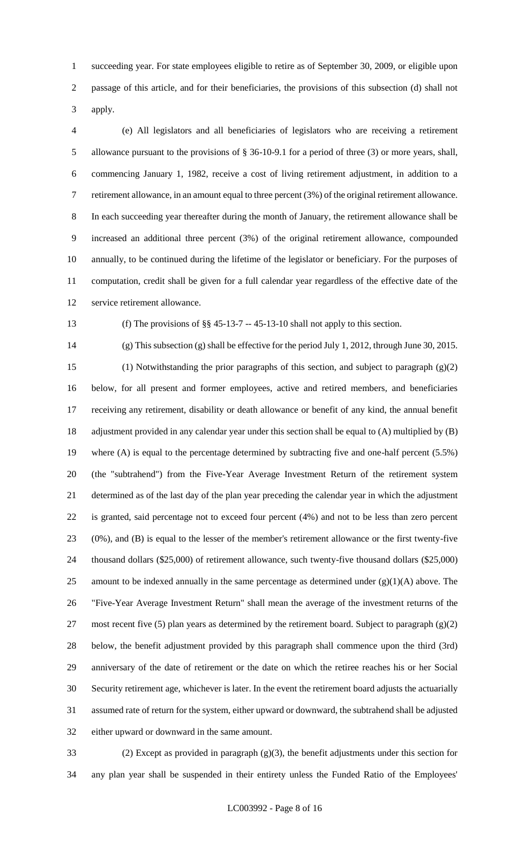succeeding year. For state employees eligible to retire as of September 30, 2009, or eligible upon passage of this article, and for their beneficiaries, the provisions of this subsection (d) shall not apply.

 (e) All legislators and all beneficiaries of legislators who are receiving a retirement allowance pursuant to the provisions of § 36-10-9.1 for a period of three (3) or more years, shall, commencing January 1, 1982, receive a cost of living retirement adjustment, in addition to a retirement allowance, in an amount equal to three percent (3%) of the original retirement allowance. In each succeeding year thereafter during the month of January, the retirement allowance shall be increased an additional three percent (3%) of the original retirement allowance, compounded annually, to be continued during the lifetime of the legislator or beneficiary. For the purposes of computation, credit shall be given for a full calendar year regardless of the effective date of the service retirement allowance.

(f) The provisions of §§ 45-13-7 -- 45-13-10 shall not apply to this section.

 (g) This subsection (g) shall be effective for the period July 1, 2012, through June 30, 2015. (1) Notwithstanding the prior paragraphs of this section, and subject to paragraph (g)(2) below, for all present and former employees, active and retired members, and beneficiaries receiving any retirement, disability or death allowance or benefit of any kind, the annual benefit adjustment provided in any calendar year under this section shall be equal to (A) multiplied by (B) where (A) is equal to the percentage determined by subtracting five and one-half percent (5.5%) (the "subtrahend") from the Five-Year Average Investment Return of the retirement system determined as of the last day of the plan year preceding the calendar year in which the adjustment is granted, said percentage not to exceed four percent (4%) and not to be less than zero percent (0%), and (B) is equal to the lesser of the member's retirement allowance or the first twenty-five thousand dollars (\$25,000) of retirement allowance, such twenty-five thousand dollars (\$25,000) 25 amount to be indexed annually in the same percentage as determined under  $(g)(1)(A)$  above. The "Five-Year Average Investment Return" shall mean the average of the investment returns of the 27 most recent five (5) plan years as determined by the retirement board. Subject to paragraph  $(g)(2)$  below, the benefit adjustment provided by this paragraph shall commence upon the third (3rd) anniversary of the date of retirement or the date on which the retiree reaches his or her Social Security retirement age, whichever is later. In the event the retirement board adjusts the actuarially assumed rate of return for the system, either upward or downward, the subtrahend shall be adjusted either upward or downward in the same amount.

 (2) Except as provided in paragraph (g)(3), the benefit adjustments under this section for any plan year shall be suspended in their entirety unless the Funded Ratio of the Employees'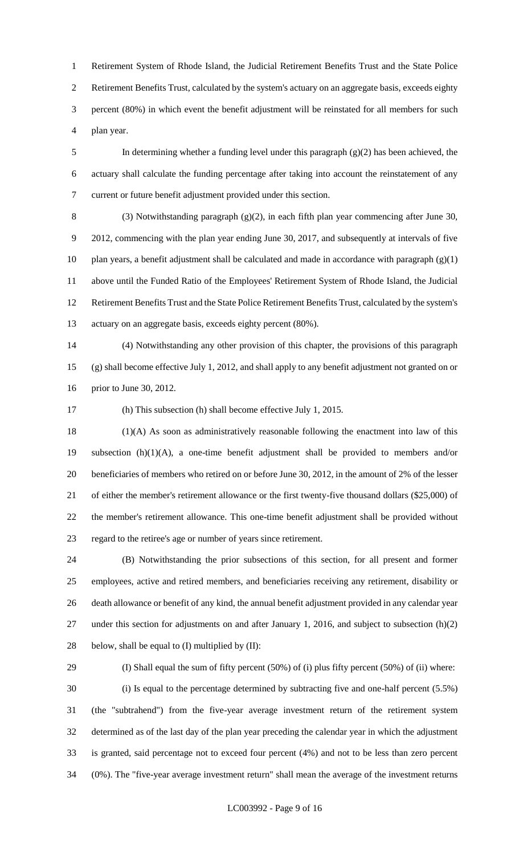Retirement System of Rhode Island, the Judicial Retirement Benefits Trust and the State Police Retirement Benefits Trust, calculated by the system's actuary on an aggregate basis, exceeds eighty percent (80%) in which event the benefit adjustment will be reinstated for all members for such plan year.

 In determining whether a funding level under this paragraph (g)(2) has been achieved, the actuary shall calculate the funding percentage after taking into account the reinstatement of any current or future benefit adjustment provided under this section.

 (3) Notwithstanding paragraph (g)(2), in each fifth plan year commencing after June 30, 2012, commencing with the plan year ending June 30, 2017, and subsequently at intervals of five 10 plan years, a benefit adjustment shall be calculated and made in accordance with paragraph  $(g)(1)$  above until the Funded Ratio of the Employees' Retirement System of Rhode Island, the Judicial Retirement Benefits Trust and the State Police Retirement Benefits Trust, calculated by the system's actuary on an aggregate basis, exceeds eighty percent (80%).

 (4) Notwithstanding any other provision of this chapter, the provisions of this paragraph (g) shall become effective July 1, 2012, and shall apply to any benefit adjustment not granted on or prior to June 30, 2012.

(h) This subsection (h) shall become effective July 1, 2015.

 (1)(A) As soon as administratively reasonable following the enactment into law of this subsection (h)(1)(A), a one-time benefit adjustment shall be provided to members and/or beneficiaries of members who retired on or before June 30, 2012, in the amount of 2% of the lesser of either the member's retirement allowance or the first twenty-five thousand dollars (\$25,000) of the member's retirement allowance. This one-time benefit adjustment shall be provided without regard to the retiree's age or number of years since retirement.

 (B) Notwithstanding the prior subsections of this section, for all present and former employees, active and retired members, and beneficiaries receiving any retirement, disability or death allowance or benefit of any kind, the annual benefit adjustment provided in any calendar year under this section for adjustments on and after January 1, 2016, and subject to subsection (h)(2) 28 below, shall be equal to  $(I)$  multiplied by  $(II)$ :

 (I) Shall equal the sum of fifty percent (50%) of (i) plus fifty percent (50%) of (ii) where: (i) Is equal to the percentage determined by subtracting five and one-half percent (5.5%) (the "subtrahend") from the five-year average investment return of the retirement system determined as of the last day of the plan year preceding the calendar year in which the adjustment is granted, said percentage not to exceed four percent (4%) and not to be less than zero percent (0%). The "five-year average investment return" shall mean the average of the investment returns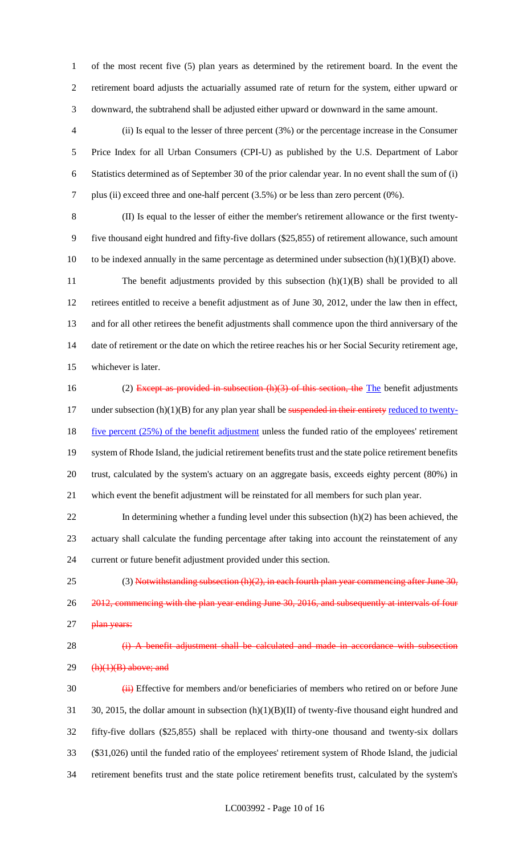of the most recent five (5) plan years as determined by the retirement board. In the event the retirement board adjusts the actuarially assumed rate of return for the system, either upward or downward, the subtrahend shall be adjusted either upward or downward in the same amount.

- (ii) Is equal to the lesser of three percent (3%) or the percentage increase in the Consumer Price Index for all Urban Consumers (CPI-U) as published by the U.S. Department of Labor Statistics determined as of September 30 of the prior calendar year. In no event shall the sum of (i) plus (ii) exceed three and one-half percent (3.5%) or be less than zero percent (0%).
- (II) Is equal to the lesser of either the member's retirement allowance or the first twenty- five thousand eight hundred and fifty-five dollars (\$25,855) of retirement allowance, such amount 10 to be indexed annually in the same percentage as determined under subsection  $(h)(1)(B)(I)$  above. 11 The benefit adjustments provided by this subsection (h)(1)(B) shall be provided to all retirees entitled to receive a benefit adjustment as of June 30, 2012, under the law then in effect, and for all other retirees the benefit adjustments shall commence upon the third anniversary of the 14 date of retirement or the date on which the retiree reaches his or her Social Security retirement age,
- whichever is later.
- 16 (2) Except as provided in subsection (h)(3) of this section, the The benefit adjustments 17 under subsection (h)(1)(B) for any plan year shall be suspended in their entirety reduced to twenty-18 five percent (25%) of the benefit adjustment unless the funded ratio of the employees' retirement system of Rhode Island, the judicial retirement benefits trust and the state police retirement benefits trust, calculated by the system's actuary on an aggregate basis, exceeds eighty percent (80%) in which event the benefit adjustment will be reinstated for all members for such plan year.
- 22 In determining whether a funding level under this subsection (h)(2) has been achieved, the actuary shall calculate the funding percentage after taking into account the reinstatement of any current or future benefit adjustment provided under this section.
- 25 (3) Notwithstanding subsection  $(h)(2)$ , in each fourth plan year commencing after June 30, 2012, commencing with the plan year ending June 30, 2016, and subsequently at intervals of four 27 plan years:

# 28 (i) A benefit adjustment shall be calculated and made in accordance with subsection (h)(1)(B) above; and

30 (iii) Effective for members and/or beneficiaries of members who retired on or before June 31 30, 2015, the dollar amount in subsection (h)(1)(B)(II) of twenty-five thousand eight hundred and fifty-five dollars (\$25,855) shall be replaced with thirty-one thousand and twenty-six dollars (\$31,026) until the funded ratio of the employees' retirement system of Rhode Island, the judicial retirement benefits trust and the state police retirement benefits trust, calculated by the system's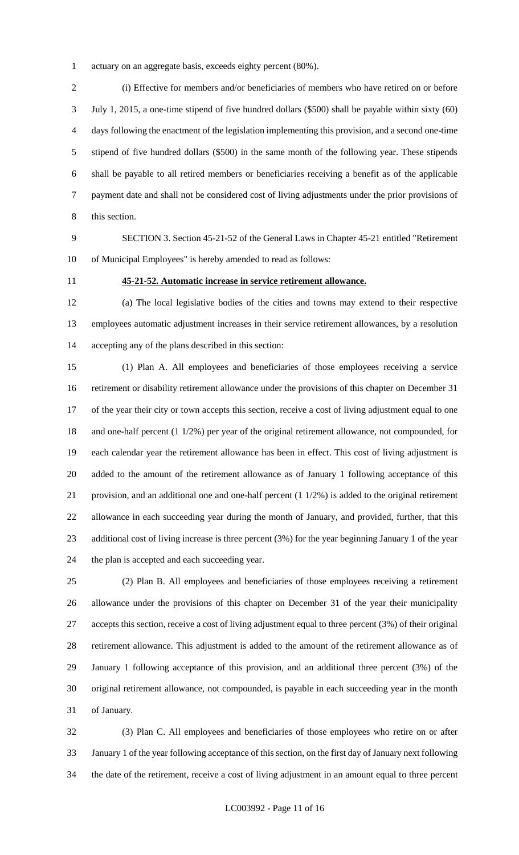actuary on an aggregate basis, exceeds eighty percent (80%).

 (i) Effective for members and/or beneficiaries of members who have retired on or before July 1, 2015, a one-time stipend of five hundred dollars (\$500) shall be payable within sixty (60) days following the enactment of the legislation implementing this provision, and a second one-time stipend of five hundred dollars (\$500) in the same month of the following year. These stipends shall be payable to all retired members or beneficiaries receiving a benefit as of the applicable payment date and shall not be considered cost of living adjustments under the prior provisions of this section.

 SECTION 3. Section 45-21-52 of the General Laws in Chapter 45-21 entitled "Retirement of Municipal Employees" is hereby amended to read as follows:

### **45-21-52. Automatic increase in service retirement allowance.**

 (a) The local legislative bodies of the cities and towns may extend to their respective employees automatic adjustment increases in their service retirement allowances, by a resolution accepting any of the plans described in this section:

 (1) Plan A. All employees and beneficiaries of those employees receiving a service retirement or disability retirement allowance under the provisions of this chapter on December 31 of the year their city or town accepts this section, receive a cost of living adjustment equal to one and one-half percent (1 1/2%) per year of the original retirement allowance, not compounded, for each calendar year the retirement allowance has been in effect. This cost of living adjustment is added to the amount of the retirement allowance as of January 1 following acceptance of this provision, and an additional one and one-half percent (1 1/2%) is added to the original retirement allowance in each succeeding year during the month of January, and provided, further, that this additional cost of living increase is three percent (3%) for the year beginning January 1 of the year the plan is accepted and each succeeding year.

 (2) Plan B. All employees and beneficiaries of those employees receiving a retirement allowance under the provisions of this chapter on December 31 of the year their municipality accepts this section, receive a cost of living adjustment equal to three percent (3%) of their original retirement allowance. This adjustment is added to the amount of the retirement allowance as of January 1 following acceptance of this provision, and an additional three percent (3%) of the original retirement allowance, not compounded, is payable in each succeeding year in the month of January.

 (3) Plan C. All employees and beneficiaries of those employees who retire on or after January 1 of the year following acceptance of this section, on the first day of January next following the date of the retirement, receive a cost of living adjustment in an amount equal to three percent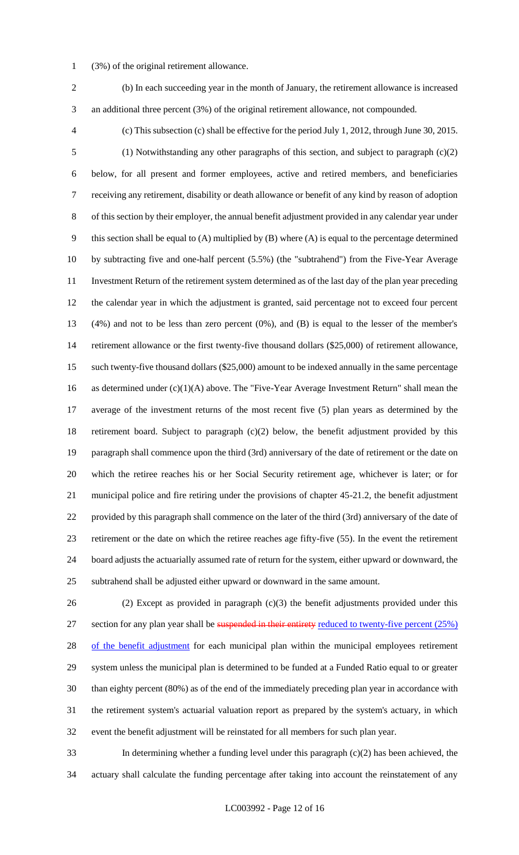- (3%) of the original retirement allowance.
- (b) In each succeeding year in the month of January, the retirement allowance is increased an additional three percent (3%) of the original retirement allowance, not compounded.
- 

 (c) This subsection (c) shall be effective for the period July 1, 2012, through June 30, 2015. (1) Notwithstanding any other paragraphs of this section, and subject to paragraph (c)(2) below, for all present and former employees, active and retired members, and beneficiaries receiving any retirement, disability or death allowance or benefit of any kind by reason of adoption of this section by their employer, the annual benefit adjustment provided in any calendar year under this section shall be equal to (A) multiplied by (B) where (A) is equal to the percentage determined by subtracting five and one-half percent (5.5%) (the "subtrahend") from the Five-Year Average Investment Return of the retirement system determined as of the last day of the plan year preceding the calendar year in which the adjustment is granted, said percentage not to exceed four percent (4%) and not to be less than zero percent (0%), and (B) is equal to the lesser of the member's retirement allowance or the first twenty-five thousand dollars (\$25,000) of retirement allowance, such twenty-five thousand dollars (\$25,000) amount to be indexed annually in the same percentage as determined under (c)(1)(A) above. The "Five-Year Average Investment Return" shall mean the average of the investment returns of the most recent five (5) plan years as determined by the retirement board. Subject to paragraph (c)(2) below, the benefit adjustment provided by this paragraph shall commence upon the third (3rd) anniversary of the date of retirement or the date on which the retiree reaches his or her Social Security retirement age, whichever is later; or for municipal police and fire retiring under the provisions of chapter 45-21.2, the benefit adjustment provided by this paragraph shall commence on the later of the third (3rd) anniversary of the date of retirement or the date on which the retiree reaches age fifty-five (55). In the event the retirement board adjusts the actuarially assumed rate of return for the system, either upward or downward, the subtrahend shall be adjusted either upward or downward in the same amount.

 (2) Except as provided in paragraph (c)(3) the benefit adjustments provided under this 27 section for any plan year shall be suspended in their entirety reduced to twenty-five percent (25%) 28 of the benefit adjustment for each municipal plan within the municipal employees retirement system unless the municipal plan is determined to be funded at a Funded Ratio equal to or greater than eighty percent (80%) as of the end of the immediately preceding plan year in accordance with the retirement system's actuarial valuation report as prepared by the system's actuary, in which event the benefit adjustment will be reinstated for all members for such plan year.

 In determining whether a funding level under this paragraph (c)(2) has been achieved, the actuary shall calculate the funding percentage after taking into account the reinstatement of any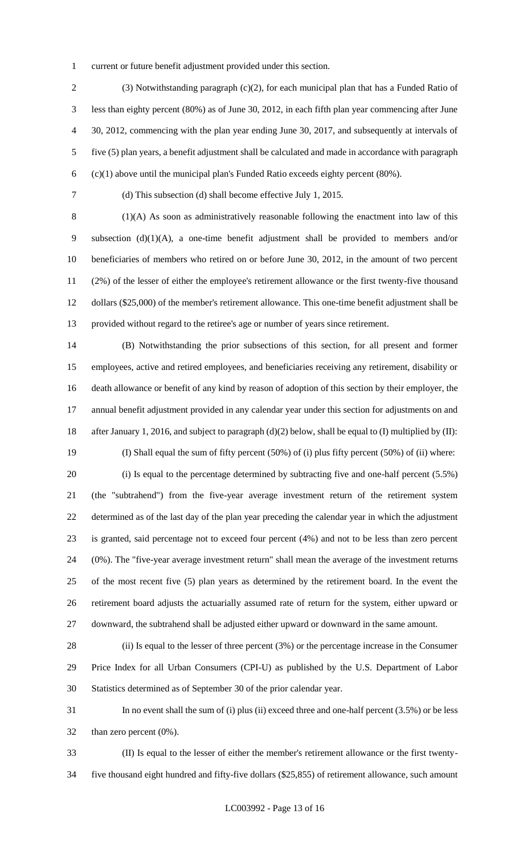current or future benefit adjustment provided under this section.

 (3) Notwithstanding paragraph (c)(2), for each municipal plan that has a Funded Ratio of less than eighty percent (80%) as of June 30, 2012, in each fifth plan year commencing after June 30, 2012, commencing with the plan year ending June 30, 2017, and subsequently at intervals of five (5) plan years, a benefit adjustment shall be calculated and made in accordance with paragraph (c)(1) above until the municipal plan's Funded Ratio exceeds eighty percent (80%).

(d) This subsection (d) shall become effective July 1, 2015.

 (1)(A) As soon as administratively reasonable following the enactment into law of this subsection (d)(1)(A), a one-time benefit adjustment shall be provided to members and/or beneficiaries of members who retired on or before June 30, 2012, in the amount of two percent (2%) of the lesser of either the employee's retirement allowance or the first twenty-five thousand dollars (\$25,000) of the member's retirement allowance. This one-time benefit adjustment shall be provided without regard to the retiree's age or number of years since retirement.

 (B) Notwithstanding the prior subsections of this section, for all present and former employees, active and retired employees, and beneficiaries receiving any retirement, disability or death allowance or benefit of any kind by reason of adoption of this section by their employer, the annual benefit adjustment provided in any calendar year under this section for adjustments on and after January 1, 2016, and subject to paragraph (d)(2) below, shall be equal to (I) multiplied by (II): (I) Shall equal the sum of fifty percent (50%) of (i) plus fifty percent (50%) of (ii) where: (i) Is equal to the percentage determined by subtracting five and one-half percent (5.5%) (the "subtrahend") from the five-year average investment return of the retirement system determined as of the last day of the plan year preceding the calendar year in which the adjustment is granted, said percentage not to exceed four percent (4%) and not to be less than zero percent (0%). The "five-year average investment return" shall mean the average of the investment returns of the most recent five (5) plan years as determined by the retirement board. In the event the

 retirement board adjusts the actuarially assumed rate of return for the system, either upward or downward, the subtrahend shall be adjusted either upward or downward in the same amount.

 (ii) Is equal to the lesser of three percent (3%) or the percentage increase in the Consumer Price Index for all Urban Consumers (CPI-U) as published by the U.S. Department of Labor Statistics determined as of September 30 of the prior calendar year.

 In no event shall the sum of (i) plus (ii) exceed three and one-half percent (3.5%) or be less than zero percent (0%).

 (II) Is equal to the lesser of either the member's retirement allowance or the first twenty-five thousand eight hundred and fifty-five dollars (\$25,855) of retirement allowance, such amount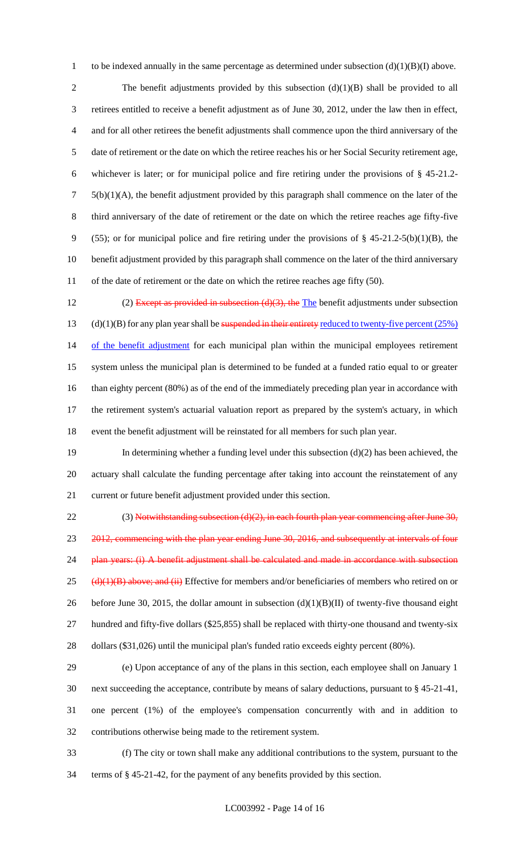1 to be indexed annually in the same percentage as determined under subsection  $(d)(1)(B)(I)$  above.

2 The benefit adjustments provided by this subsection (d)(1)(B) shall be provided to all 3 retirees entitled to receive a benefit adjustment as of June 30, 2012, under the law then in effect, 4 and for all other retirees the benefit adjustments shall commence upon the third anniversary of the 5 date of retirement or the date on which the retiree reaches his or her Social Security retirement age, 6 whichever is later; or for municipal police and fire retiring under the provisions of § 45-21.2-  $7\quad 5(b)(1)(A)$ , the benefit adjustment provided by this paragraph shall commence on the later of the 8 third anniversary of the date of retirement or the date on which the retiree reaches age fifty-five 9 (55); or for municipal police and fire retiring under the provisions of  $\S$  45-21.2-5(b)(1)(B), the 10 benefit adjustment provided by this paragraph shall commence on the later of the third anniversary 11 of the date of retirement or the date on which the retiree reaches age fifty (50).

12 (2) Except as provided in subsection  $(d)(3)$ , the The benefit adjustments under subsection 13 (d)(1)(B) for any plan year shall be suspended in their entirety reduced to twenty-five percent  $(25%)$ 14 of the benefit adjustment for each municipal plan within the municipal employees retirement 15 system unless the municipal plan is determined to be funded at a funded ratio equal to or greater 16 than eighty percent (80%) as of the end of the immediately preceding plan year in accordance with 17 the retirement system's actuarial valuation report as prepared by the system's actuary, in which 18 event the benefit adjustment will be reinstated for all members for such plan year.

19 In determining whether a funding level under this subsection (d)(2) has been achieved, the 20 actuary shall calculate the funding percentage after taking into account the reinstatement of any 21 current or future benefit adjustment provided under this section.

22 (3) Notwithstanding subsection  $(d)(2)$ , in each fourth plan year commencing after June 30, 23 2012, commencing with the plan year ending June 30, 2016, and subsequently at intervals of four 24 plan years: (i) A benefit adjustment shall be calculated and made in accordance with subsection 25 ( $\frac{d}{d}$ )(1)(B) above; and (ii) Effective for members and/or beneficiaries of members who retired on or 26 before June 30, 2015, the dollar amount in subsection  $(d)(1)(B)(II)$  of twenty-five thousand eight 27 hundred and fifty-five dollars (\$25,855) shall be replaced with thirty-one thousand and twenty-six 28 dollars (\$31,026) until the municipal plan's funded ratio exceeds eighty percent (80%).

 (e) Upon acceptance of any of the plans in this section, each employee shall on January 1 next succeeding the acceptance, contribute by means of salary deductions, pursuant to § 45-21-41, one percent (1%) of the employee's compensation concurrently with and in addition to contributions otherwise being made to the retirement system.

33 (f) The city or town shall make any additional contributions to the system, pursuant to the 34 terms of § 45-21-42, for the payment of any benefits provided by this section.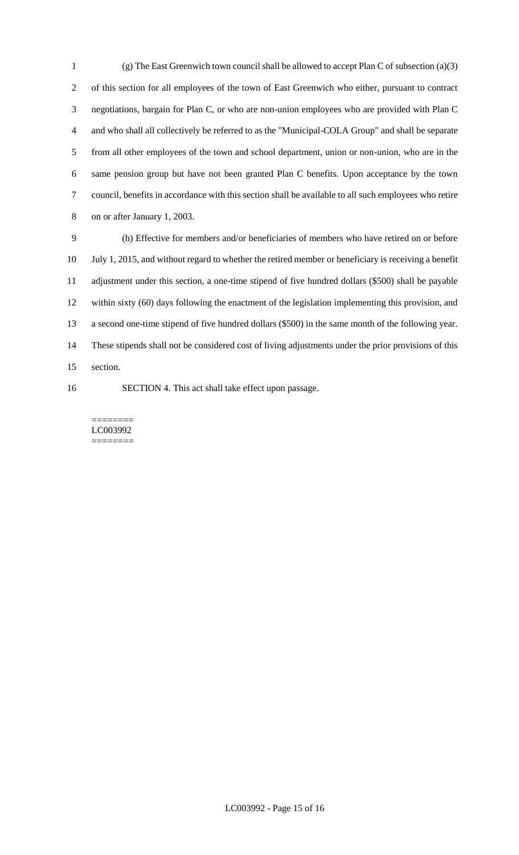(g) The East Greenwich town council shall be allowed to accept Plan C of subsection (a)(3) of this section for all employees of the town of East Greenwich who either, pursuant to contract negotiations, bargain for Plan C, or who are non-union employees who are provided with Plan C and who shall all collectively be referred to as the "Municipal-COLA Group" and shall be separate from all other employees of the town and school department, union or non-union, who are in the same pension group but have not been granted Plan C benefits. Upon acceptance by the town council, benefits in accordance with this section shall be available to all such employees who retire on or after January 1, 2003.

 (h) Effective for members and/or beneficiaries of members who have retired on or before July 1, 2015, and without regard to whether the retired member or beneficiary is receiving a benefit adjustment under this section, a one-time stipend of five hundred dollars (\$500) shall be payable within sixty (60) days following the enactment of the legislation implementing this provision, and a second one-time stipend of five hundred dollars (\$500) in the same month of the following year. These stipends shall not be considered cost of living adjustments under the prior provisions of this section.

SECTION 4. This act shall take effect upon passage.

======== LC003992 ========